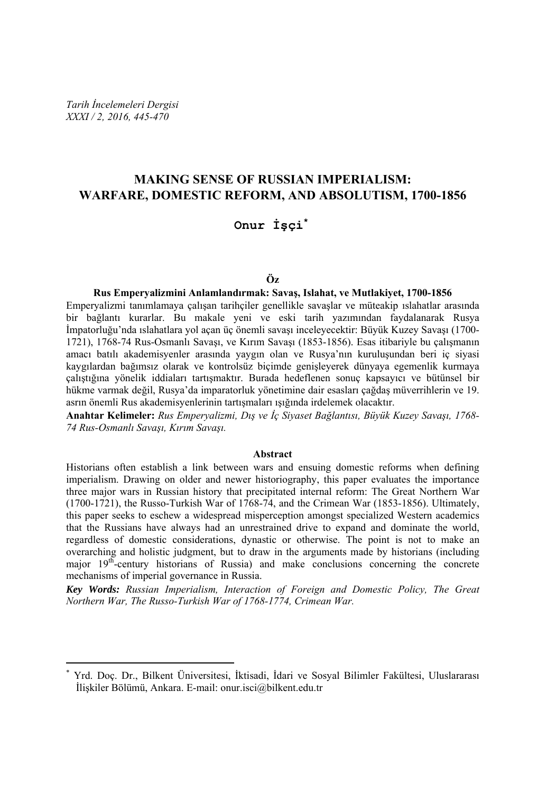*Tarih İncelemeleri Dergisi XXXI / 2, 2016, 445-470* 

 $\overline{a}$ 

# **MAKING SENSE OF RUSSIAN IMPERIALISM: WARFARE, DOMESTIC REFORM, AND ABSOLUTISM, 1700-1856**

### **Onur İşçi\***

#### **Öz**

#### **Rus Emperyalizmini Anlamlandırmak: Savaş, Islahat, ve Mutlakiyet, 1700-1856**

Emperyalizmi tanımlamaya çalışan tarihçiler genellikle savaşlar ve müteakip ıslahatlar arasında bir bağlantı kurarlar. Bu makale yeni ve eski tarih yazımından faydalanarak Rusya İmpatorluğu'nda ıslahatlara yol açan üç önemli savaşı inceleyecektir: Büyük Kuzey Savaşı (1700- 1721), 1768-74 Rus-Osmanlı Savaşı, ve Kırım Savaşı (1853-1856). Esas itibariyle bu çalışmanın amacı batılı akademisyenler arasında yaygın olan ve Rusya'nın kuruluşundan beri iç siyasi kaygılardan bağımsız olarak ve kontrolsüz biçimde genişleyerek dünyaya egemenlik kurmaya çalıştığına yönelik iddiaları tartışmaktır. Burada hedeflenen sonuç kapsayıcı ve bütünsel bir hükme varmak değil, Rusya'da imparatorluk yönetimine dair esasları çağdaş müverrihlerin ve 19. asrın önemli Rus akademisyenlerinin tartışmaları ışığında irdelemek olacaktır.

**Anahtar Kelimeler:** *Rus Emperyalizmi, Dış ve İç Siyaset Bağlantısı, Büyük Kuzey Savaşı, 1768- 74 Rus-Osmanlı Savaşı, Kırım Savaşı.* 

#### **Abstract**

Historians often establish a link between wars and ensuing domestic reforms when defining imperialism. Drawing on older and newer historiography, this paper evaluates the importance three major wars in Russian history that precipitated internal reform: The Great Northern War (1700-1721), the Russo-Turkish War of 1768-74, and the Crimean War (1853-1856). Ultimately, this paper seeks to eschew a widespread misperception amongst specialized Western academics that the Russians have always had an unrestrained drive to expand and dominate the world, regardless of domestic considerations, dynastic or otherwise. The point is not to make an overarching and holistic judgment, but to draw in the arguments made by historians (including major  $19<sup>th</sup>$ -century historians of Russia) and make conclusions concerning the concrete mechanisms of imperial governance in Russia.

*Key Words: Russian Imperialism, Interaction of Foreign and Domestic Policy, The Great Northern War, The Russo-Turkish War of 1768-1774, Crimean War.* 

<sup>\*</sup> Yrd. Doç. Dr., Bilkent Üniversitesi, İktisadi, İdari ve Sosyal Bilimler Fakültesi, Uluslararası İlişkiler Bölümü, Ankara. E-mail: onur.isci@bilkent.edu.tr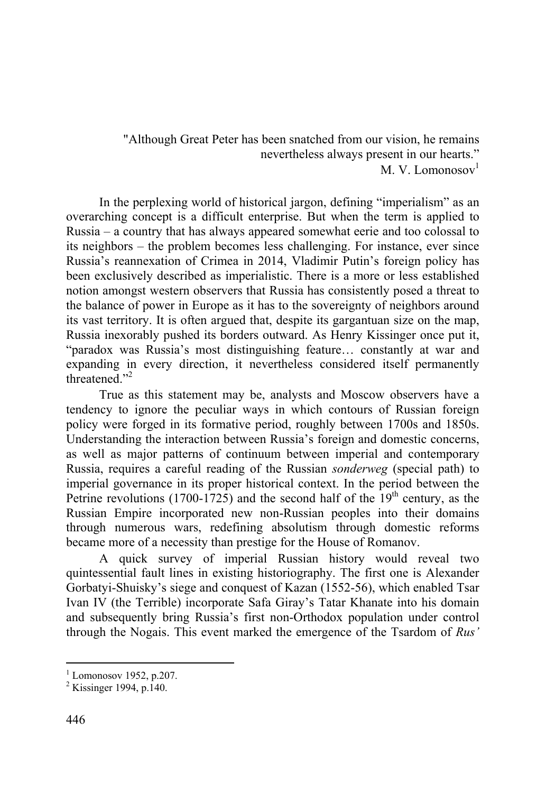"Although Great Peter has been snatched from our vision, he remains nevertheless always present in our hearts."  $M$  V. Lomonosov<sup>1</sup>

In the perplexing world of historical jargon, defining "imperialism" as an overarching concept is a difficult enterprise. But when the term is applied to Russia – a country that has always appeared somewhat eerie and too colossal to its neighbors – the problem becomes less challenging. For instance, ever since Russia's reannexation of Crimea in 2014, Vladimir Putin's foreign policy has been exclusively described as imperialistic. There is a more or less established notion amongst western observers that Russia has consistently posed a threat to the balance of power in Europe as it has to the sovereignty of neighbors around its vast territory. It is often argued that, despite its gargantuan size on the map, Russia inexorably pushed its borders outward. As Henry Kissinger once put it, "paradox was Russia's most distinguishing feature… constantly at war and expanding in every direction, it nevertheless considered itself permanently threatened."<sup>2</sup>

True as this statement may be, analysts and Moscow observers have a tendency to ignore the peculiar ways in which contours of Russian foreign policy were forged in its formative period, roughly between 1700s and 1850s. Understanding the interaction between Russia's foreign and domestic concerns, as well as major patterns of continuum between imperial and contemporary Russia, requires a careful reading of the Russian *sonderweg* (special path) to imperial governance in its proper historical context. In the period between the Petrine revolutions (1700-1725) and the second half of the  $19<sup>th</sup>$  century, as the Russian Empire incorporated new non-Russian peoples into their domains through numerous wars, redefining absolutism through domestic reforms became more of a necessity than prestige for the House of Romanov.

A quick survey of imperial Russian history would reveal two quintessential fault lines in existing historiography. The first one is Alexander Gorbatyi-Shuisky's siege and conquest of Kazan (1552-56), which enabled Tsar Ivan IV (the Terrible) incorporate Safa Giray's Tatar Khanate into his domain and subsequently bring Russia's first non-Orthodox population under control through the Nogais. This event marked the emergence of the Tsardom of *Rus'*

 $<sup>1</sup>$  Lomonosov 1952, p.207.</sup>

 $2$  Kissinger 1994, p.140.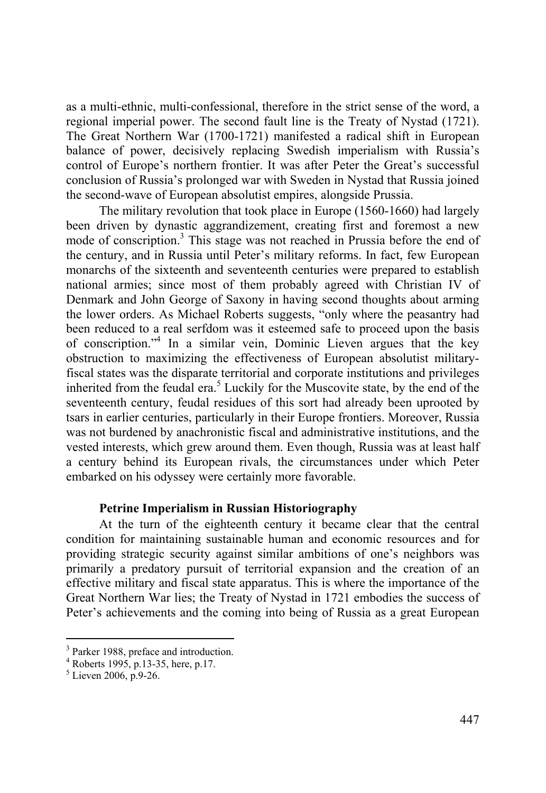as a multi-ethnic, multi-confessional, therefore in the strict sense of the word, a regional imperial power. The second fault line is the Treaty of Nystad (1721). The Great Northern War (1700-1721) manifested a radical shift in European balance of power, decisively replacing Swedish imperialism with Russia's control of Europe's northern frontier. It was after Peter the Great's successful conclusion of Russia's prolonged war with Sweden in Nystad that Russia joined the second-wave of European absolutist empires, alongside Prussia.

The military revolution that took place in Europe (1560-1660) had largely been driven by dynastic aggrandizement, creating first and foremost a new mode of conscription.<sup>3</sup> This stage was not reached in Prussia before the end of the century, and in Russia until Peter's military reforms. In fact, few European monarchs of the sixteenth and seventeenth centuries were prepared to establish national armies; since most of them probably agreed with Christian IV of Denmark and John George of Saxony in having second thoughts about arming the lower orders. As Michael Roberts suggests, "only where the peasantry had been reduced to a real serfdom was it esteemed safe to proceed upon the basis of conscription."4 In a similar vein, Dominic Lieven argues that the key obstruction to maximizing the effectiveness of European absolutist militaryfiscal states was the disparate territorial and corporate institutions and privileges inherited from the feudal era.<sup>5</sup> Luckily for the Muscovite state, by the end of the seventeenth century, feudal residues of this sort had already been uprooted by tsars in earlier centuries, particularly in their Europe frontiers. Moreover, Russia was not burdened by anachronistic fiscal and administrative institutions, and the vested interests, which grew around them. Even though, Russia was at least half a century behind its European rivals, the circumstances under which Peter embarked on his odyssey were certainly more favorable.

## **Petrine Imperialism in Russian Historiography**

At the turn of the eighteenth century it became clear that the central condition for maintaining sustainable human and economic resources and for providing strategic security against similar ambitions of one's neighbors was primarily a predatory pursuit of territorial expansion and the creation of an effective military and fiscal state apparatus. This is where the importance of the Great Northern War lies; the Treaty of Nystad in 1721 embodies the success of Peter's achievements and the coming into being of Russia as a great European

<sup>&</sup>lt;sup>3</sup> Parker 1988, preface and introduction.

<sup>4</sup> Roberts 1995, p.13-35, here, p.17.

 $5$  Lieven 2006, p.9-26.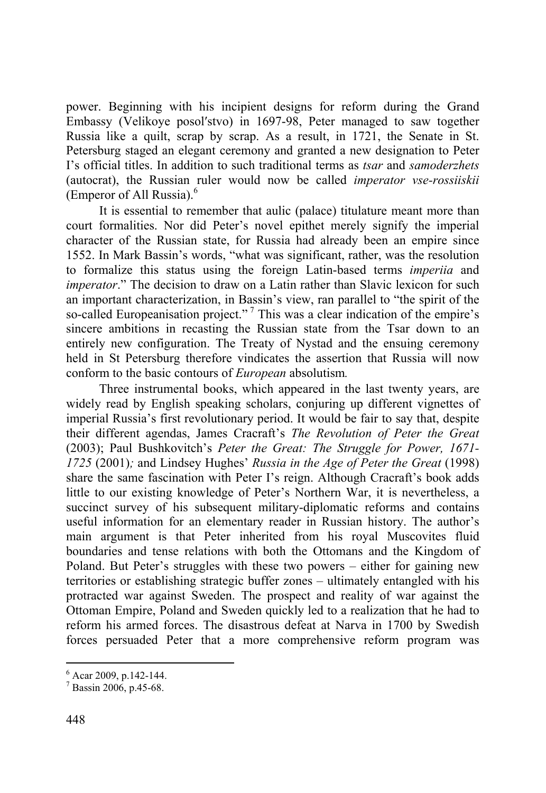power. Beginning with his incipient designs for reform during the Grand Embassy (Velikoye posol′stvo) in 1697-98, Peter managed to saw together Russia like a quilt, scrap by scrap. As a result, in 1721, the Senate in St. Petersburg staged an elegant ceremony and granted a new designation to Peter I's official titles. In addition to such traditional terms as *tsar* and *samoderzhets* (autocrat), the Russian ruler would now be called *imperator vse-rossiiskii*  (Emperor of All Russia).<sup>6</sup>

It is essential to remember that aulic (palace) titulature meant more than court formalities. Nor did Peter's novel epithet merely signify the imperial character of the Russian state, for Russia had already been an empire since 1552. In Mark Bassin's words, "what was significant, rather, was the resolution to formalize this status using the foreign Latin-based terms *imperiia* and *imperator.*" The decision to draw on a Latin rather than Slavic lexicon for such an important characterization, in Bassin's view, ran parallel to "the spirit of the so-called Europeanisation project."<sup>7</sup> This was a clear indication of the empire's sincere ambitions in recasting the Russian state from the Tsar down to an entirely new configuration. The Treaty of Nystad and the ensuing ceremony held in St Petersburg therefore vindicates the assertion that Russia will now conform to the basic contours of *European* absolutism*.* 

Three instrumental books, which appeared in the last twenty years, are widely read by English speaking scholars, conjuring up different vignettes of imperial Russia's first revolutionary period. It would be fair to say that, despite their different agendas, James Cracraft's *The Revolution of Peter the Great* (2003); Paul Bushkovitch's *Peter the Great: The Struggle for Power, 1671- 1725* (2001)*;* and Lindsey Hughes' *Russia in the Age of Peter the Great* (1998) share the same fascination with Peter I's reign. Although Cracraft's book adds little to our existing knowledge of Peter's Northern War, it is nevertheless, a succinct survey of his subsequent military-diplomatic reforms and contains useful information for an elementary reader in Russian history. The author's main argument is that Peter inherited from his royal Muscovites fluid boundaries and tense relations with both the Ottomans and the Kingdom of Poland. But Peter's struggles with these two powers – either for gaining new territories or establishing strategic buffer zones – ultimately entangled with his protracted war against Sweden. The prospect and reality of war against the Ottoman Empire, Poland and Sweden quickly led to a realization that he had to reform his armed forces. The disastrous defeat at Narva in 1700 by Swedish forces persuaded Peter that a more comprehensive reform program was

 $6$  Acar 2009, p.142-144.

<sup>7</sup> Bassin 2006, p.45-68.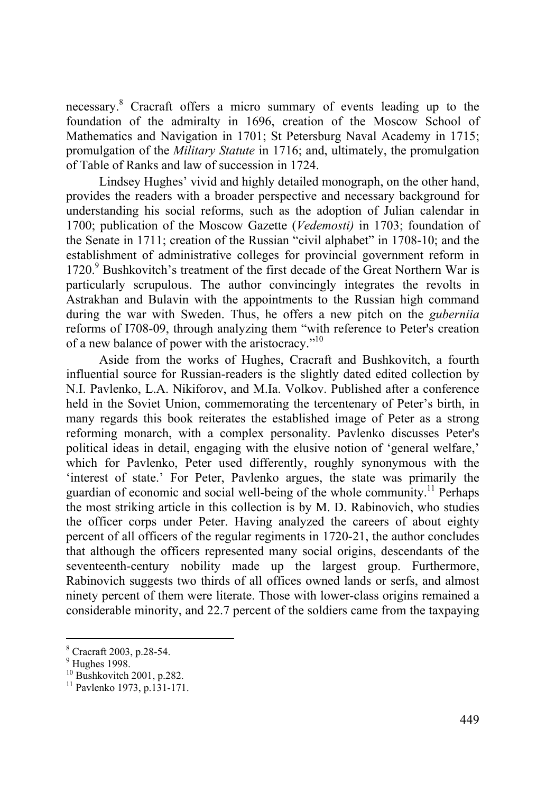necessary.8 Cracraft offers a micro summary of events leading up to the foundation of the admiralty in 1696, creation of the Moscow School of Mathematics and Navigation in 1701; St Petersburg Naval Academy in 1715; promulgation of the *Military Statute* in 1716; and, ultimately, the promulgation of Table of Ranks and law of succession in 1724.

Lindsey Hughes' vivid and highly detailed monograph, on the other hand, provides the readers with a broader perspective and necessary background for understanding his social reforms, such as the adoption of Julian calendar in 1700; publication of the Moscow Gazette (*Vedemosti)* in 1703; foundation of the Senate in 1711; creation of the Russian "civil alphabet" in 1708-10; and the establishment of administrative colleges for provincial government reform in 1720.<sup>9</sup> Bushkovitch's treatment of the first decade of the Great Northern War is particularly scrupulous. The author convincingly integrates the revolts in Astrakhan and Bulavin with the appointments to the Russian high command during the war with Sweden. Thus, he offers a new pitch on the *guberniia* reforms of I708-09, through analyzing them "with reference to Peter's creation of a new balance of power with the aristocracy."10

Aside from the works of Hughes, Cracraft and Bushkovitch, a fourth influential source for Russian-readers is the slightly dated edited collection by N.I. Pavlenko, L.A. Nikiforov, and M.Ia. Volkov. Published after a conference held in the Soviet Union, commemorating the tercentenary of Peter's birth, in many regards this book reiterates the established image of Peter as a strong reforming monarch, with a complex personality. Pavlenko discusses Peter's political ideas in detail, engaging with the elusive notion of 'general welfare,' which for Pavlenko, Peter used differently, roughly synonymous with the 'interest of state.' For Peter, Pavlenko argues, the state was primarily the guardian of economic and social well-being of the whole community.11 Perhaps the most striking article in this collection is by M. D. Rabinovich, who studies the officer corps under Peter. Having analyzed the careers of about eighty percent of all officers of the regular regiments in 1720-21, the author concludes that although the officers represented many social origins, descendants of the seventeenth-century nobility made up the largest group. Furthermore, Rabinovich suggests two thirds of all offices owned lands or serfs, and almost ninety percent of them were literate. Those with lower-class origins remained a considerable minority, and 22.7 percent of the soldiers came from the taxpaying

<sup>8</sup> Cracraft 2003, p.28-54.

 $9$  Hughes 1998.

 $10$  Bushkovitch 2001, p.282.

<sup>11</sup> Pavlenko 1973, p.131-171.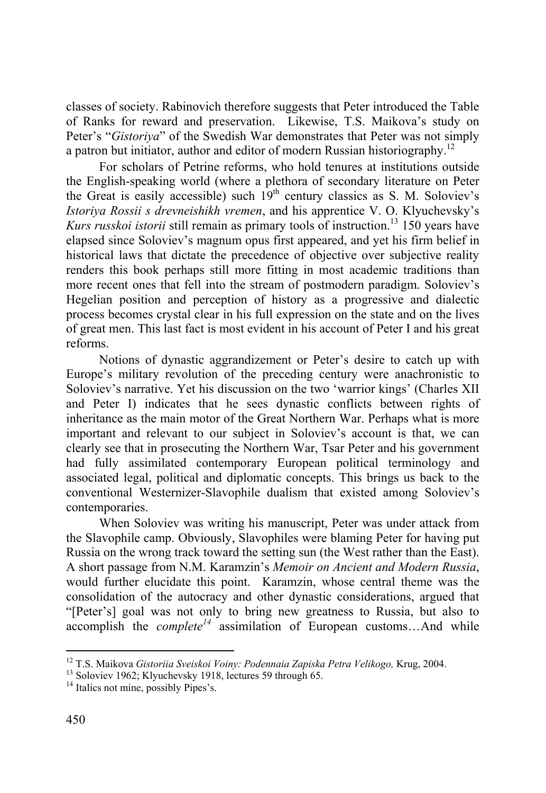classes of society. Rabinovich therefore suggests that Peter introduced the Table of Ranks for reward and preservation. Likewise, T.S. Maikova's study on Peter's "*Gistoriya*" of the Swedish War demonstrates that Peter was not simply a patron but initiator, author and editor of modern Russian historiography.12

For scholars of Petrine reforms, who hold tenures at institutions outside the English-speaking world (where a plethora of secondary literature on Peter the Great is easily accessible) such  $19<sup>th</sup>$  century classics as S. M. Soloviev's *Istoriya Rossii s drevneishikh vremen*, and his apprentice V. O. Klyuchevsky's *Kurs russkoi istorii* still remain as primary tools of instruction.<sup>13</sup> 150 years have elapsed since Soloviev's magnum opus first appeared, and yet his firm belief in historical laws that dictate the precedence of objective over subjective reality renders this book perhaps still more fitting in most academic traditions than more recent ones that fell into the stream of postmodern paradigm. Soloviev's Hegelian position and perception of history as a progressive and dialectic process becomes crystal clear in his full expression on the state and on the lives of great men. This last fact is most evident in his account of Peter I and his great reforms.

Notions of dynastic aggrandizement or Peter's desire to catch up with Europe's military revolution of the preceding century were anachronistic to Soloviev's narrative. Yet his discussion on the two 'warrior kings' (Charles XII and Peter I) indicates that he sees dynastic conflicts between rights of inheritance as the main motor of the Great Northern War. Perhaps what is more important and relevant to our subject in Soloviev's account is that, we can clearly see that in prosecuting the Northern War, Tsar Peter and his government had fully assimilated contemporary European political terminology and associated legal, political and diplomatic concepts. This brings us back to the conventional Westernizer-Slavophile dualism that existed among Soloviev's contemporaries.

When Soloviev was writing his manuscript, Peter was under attack from the Slavophile camp. Obviously, Slavophiles were blaming Peter for having put Russia on the wrong track toward the setting sun (the West rather than the East). A short passage from N.M. Karamzin's *Memoir on Ancient and Modern Russia*, would further elucidate this point. Karamzin, whose central theme was the consolidation of the autocracy and other dynastic considerations, argued that "[Peter's] goal was not only to bring new greatness to Russia, but also to accomplish the *complete<sup>14</sup>* assimilation of European customs…And while

<sup>&</sup>lt;sup>12</sup> T.S. Maikova *Gistoriia Sveiskoi Voiny: Podennaia Zapiska Petra Velikogo*, Krug, 2004.<br><sup>13</sup> Soloviev 1962; Klyuchevsky 1918, lectures 59 through 65.

<sup>&</sup>lt;sup>14</sup> Italics not mine, possibly Pipes's.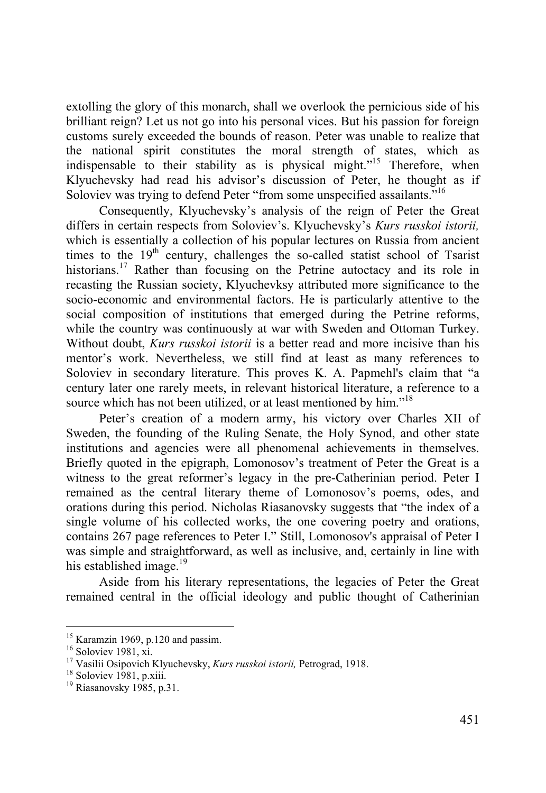extolling the glory of this monarch, shall we overlook the pernicious side of his brilliant reign? Let us not go into his personal vices. But his passion for foreign customs surely exceeded the bounds of reason. Peter was unable to realize that the national spirit constitutes the moral strength of states, which as indispensable to their stability as is physical might."15 Therefore, when Klyuchevsky had read his advisor's discussion of Peter, he thought as if Soloviev was trying to defend Peter "from some unspecified assailants."<sup>16</sup>

Consequently, Klyuchevsky's analysis of the reign of Peter the Great differs in certain respects from Soloviev's. Klyuchevsky's *Kurs russkoi istorii,* which is essentially a collection of his popular lectures on Russia from ancient times to the  $19<sup>th</sup>$  century, challenges the so-called statist school of Tsarist historians.<sup>17</sup> Rather than focusing on the Petrine autoctacy and its role in recasting the Russian society, Klyuchevksy attributed more significance to the socio-economic and environmental factors. He is particularly attentive to the social composition of institutions that emerged during the Petrine reforms, while the country was continuously at war with Sweden and Ottoman Turkey. Without doubt, *Kurs russkoi istorii* is a better read and more incisive than his mentor's work. Nevertheless, we still find at least as many references to Soloviev in secondary literature. This proves K. A. Papmehl's claim that "a century later one rarely meets, in relevant historical literature, a reference to a source which has not been utilized, or at least mentioned by him."<sup>18</sup>

Peter's creation of a modern army, his victory over Charles XII of Sweden, the founding of the Ruling Senate, the Holy Synod, and other state institutions and agencies were all phenomenal achievements in themselves. Briefly quoted in the epigraph, Lomonosov's treatment of Peter the Great is a witness to the great reformer's legacy in the pre-Catherinian period. Peter I remained as the central literary theme of Lomonosov's poems, odes, and orations during this period. Nicholas Riasanovsky suggests that "the index of a single volume of his collected works, the one covering poetry and orations, contains 267 page references to Peter I." Still, Lomonosov's appraisal of Peter I was simple and straightforward, as well as inclusive, and, certainly in line with his established image. $19$ 

Aside from his literary representations, the legacies of Peter the Great remained central in the official ideology and public thought of Catherinian

 $15$  Karamzin 1969, p.120 and passim.

<sup>16</sup> Soloviev 1981, xi.

<sup>&</sup>lt;sup>17</sup> Vasilii Osipovich Klyuchevsky, *Kurs russkoi istorii*, Petrograd, 1918. <sup>18</sup> Soloviev 1981, p.xiii.

<sup>&</sup>lt;sup>19</sup> Riasanovsky 1985, p.31.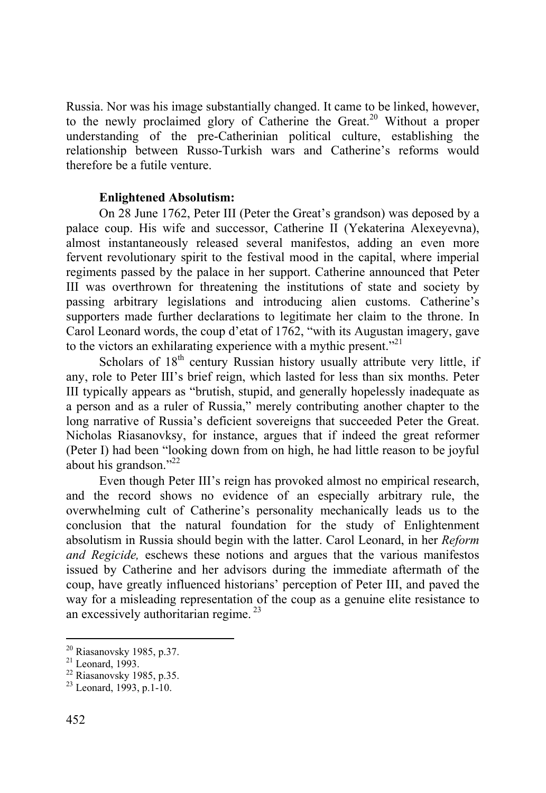Russia. Nor was his image substantially changed. It came to be linked, however, to the newly proclaimed glory of Catherine the Great.<sup>20</sup> Without a proper understanding of the pre-Catherinian political culture, establishing the relationship between Russo-Turkish wars and Catherine's reforms would therefore be a futile venture.

## **Enlightened Absolutism:**

On 28 June 1762, Peter III (Peter the Great's grandson) was deposed by a palace coup. His wife and successor, Catherine II (Yekaterina Alexeyevna), almost instantaneously released several manifestos, adding an even more fervent revolutionary spirit to the festival mood in the capital, where imperial regiments passed by the palace in her support. Catherine announced that Peter III was overthrown for threatening the institutions of state and society by passing arbitrary legislations and introducing alien customs. Catherine's supporters made further declarations to legitimate her claim to the throne. In Carol Leonard words, the coup d'etat of 1762, "with its Augustan imagery, gave to the victors an exhilarating experience with a mythic present."<sup>21</sup>

Scholars of  $18<sup>th</sup>$  century Russian history usually attribute very little, if any, role to Peter III's brief reign, which lasted for less than six months. Peter III typically appears as "brutish, stupid, and generally hopelessly inadequate as a person and as a ruler of Russia," merely contributing another chapter to the long narrative of Russia's deficient sovereigns that succeeded Peter the Great. Nicholas Riasanovksy, for instance, argues that if indeed the great reformer (Peter I) had been "looking down from on high, he had little reason to be joyful about his grandson." $^{22}$ 

Even though Peter III's reign has provoked almost no empirical research, and the record shows no evidence of an especially arbitrary rule, the overwhelming cult of Catherine's personality mechanically leads us to the conclusion that the natural foundation for the study of Enlightenment absolutism in Russia should begin with the latter. Carol Leonard, in her *Reform and Regicide,* eschews these notions and argues that the various manifestos issued by Catherine and her advisors during the immediate aftermath of the coup, have greatly influenced historians' perception of Peter III, and paved the way for a misleading representation of the coup as a genuine elite resistance to an excessively authoritarian regime. 23

 $20$  Riasanovsky 1985, p.37.

 $21$  Leonard, 1993.

 $22$  Riasanovsky 1985, p.35.

 $23$  Leonard, 1993, p.1-10.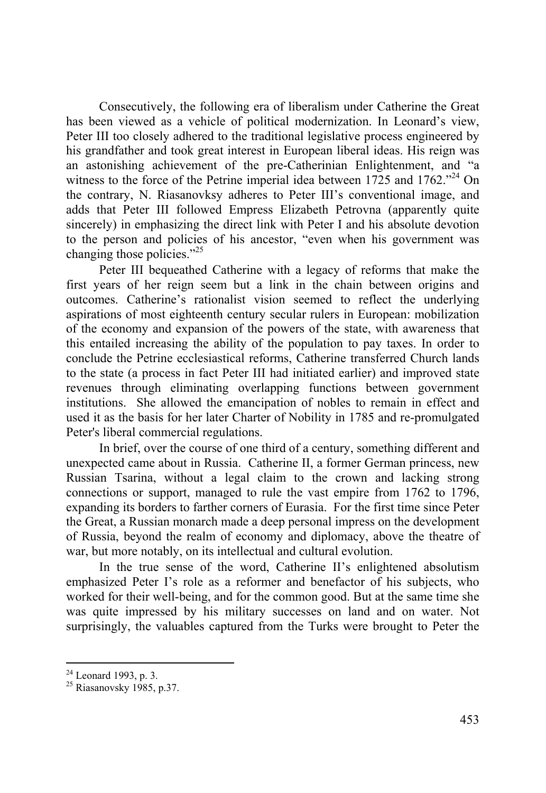Consecutively, the following era of liberalism under Catherine the Great has been viewed as a vehicle of political modernization. In Leonard's view, Peter III too closely adhered to the traditional legislative process engineered by his grandfather and took great interest in European liberal ideas. His reign was an astonishing achievement of the pre-Catherinian Enlightenment, and "a witness to the force of the Petrine imperial idea between 1725 and 1762."<sup>24</sup> On the contrary, N. Riasanovksy adheres to Peter III's conventional image, and adds that Peter III followed Empress Elizabeth Petrovna (apparently quite sincerely) in emphasizing the direct link with Peter I and his absolute devotion to the person and policies of his ancestor, "even when his government was changing those policies."<sup>25</sup>

Peter III bequeathed Catherine with a legacy of reforms that make the first years of her reign seem but a link in the chain between origins and outcomes. Catherine's rationalist vision seemed to reflect the underlying aspirations of most eighteenth century secular rulers in European: mobilization of the economy and expansion of the powers of the state, with awareness that this entailed increasing the ability of the population to pay taxes. In order to conclude the Petrine ecclesiastical reforms, Catherine transferred Church lands to the state (a process in fact Peter III had initiated earlier) and improved state revenues through eliminating overlapping functions between government institutions. She allowed the emancipation of nobles to remain in effect and used it as the basis for her later Charter of Nobility in 1785 and re-promulgated Peter's liberal commercial regulations.

In brief, over the course of one third of a century, something different and unexpected came about in Russia. Catherine II, a former German princess, new Russian Tsarina, without a legal claim to the crown and lacking strong connections or support, managed to rule the vast empire from 1762 to 1796, expanding its borders to farther corners of Eurasia. For the first time since Peter the Great, a Russian monarch made a deep personal impress on the development of Russia, beyond the realm of economy and diplomacy, above the theatre of war, but more notably, on its intellectual and cultural evolution.

In the true sense of the word, Catherine II's enlightened absolutism emphasized Peter I's role as a reformer and benefactor of his subjects, who worked for their well-being, and for the common good. But at the same time she was quite impressed by his military successes on land and on water. Not surprisingly, the valuables captured from the Turks were brought to Peter the

 $2<sup>24</sup>$  Leonard 1993, p. 3.

 $25$  Riasanovsky 1985, p.37.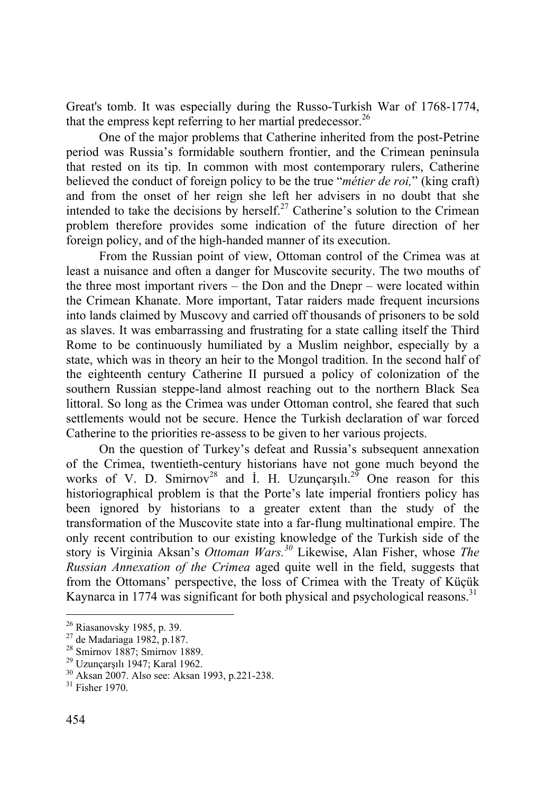Great's tomb. It was especially during the Russo-Turkish War of 1768-1774, that the empress kept referring to her martial predecessor.<sup>26</sup>

One of the major problems that Catherine inherited from the post-Petrine period was Russia's formidable southern frontier, and the Crimean peninsula that rested on its tip. In common with most contemporary rulers, Catherine believed the conduct of foreign policy to be the true "*métier de roi,*" (king craft) and from the onset of her reign she left her advisers in no doubt that she intended to take the decisions by herself.<sup>27</sup> Catherine's solution to the Crimean problem therefore provides some indication of the future direction of her foreign policy, and of the high-handed manner of its execution.

From the Russian point of view, Ottoman control of the Crimea was at least a nuisance and often a danger for Muscovite security. The two mouths of the three most important rivers – the Don and the Dnepr – were located within the Crimean Khanate. More important, Tatar raiders made frequent incursions into lands claimed by Muscovy and carried off thousands of prisoners to be sold as slaves. It was embarrassing and frustrating for a state calling itself the Third Rome to be continuously humiliated by a Muslim neighbor, especially by a state, which was in theory an heir to the Mongol tradition. In the second half of the eighteenth century Catherine II pursued a policy of colonization of the southern Russian steppe-land almost reaching out to the northern Black Sea littoral. So long as the Crimea was under Ottoman control, she feared that such settlements would not be secure. Hence the Turkish declaration of war forced Catherine to the priorities re-assess to be given to her various projects.

On the question of Turkey's defeat and Russia's subsequent annexation of the Crimea, twentieth-century historians have not gone much beyond the works of V. D. Smirnov<sup>28</sup> and I. H. Uzunçarşılı.<sup>29</sup> One reason for this historiographical problem is that the Porte's late imperial frontiers policy has been ignored by historians to a greater extent than the study of the transformation of the Muscovite state into a far-flung multinational empire. The only recent contribution to our existing knowledge of the Turkish side of the story is Virginia Aksan's *Ottoman Wars.<sup>30</sup>* Likewise, Alan Fisher, whose *The Russian Annexation of the Crimea* aged quite well in the field, suggests that from the Ottomans' perspective, the loss of Crimea with the Treaty of Küçük Kaynarca in 1774 was significant for both physical and psychological reasons.<sup>31</sup>

<sup>&</sup>lt;sup>26</sup> Riasanovsky 1985, p. 39.

<sup>&</sup>lt;sup>27</sup> de Madariaga 1982, p.187.<br><sup>28</sup> Smirnov 1887; Smirnov 1889.

<sup>&</sup>lt;sup>29</sup> Uzunçarşılı 1947; Karal 1962.<br><sup>30</sup> Aksan 2007. Also see: Aksan 1993, p.221-238.

<sup>31</sup> Fisher 1970.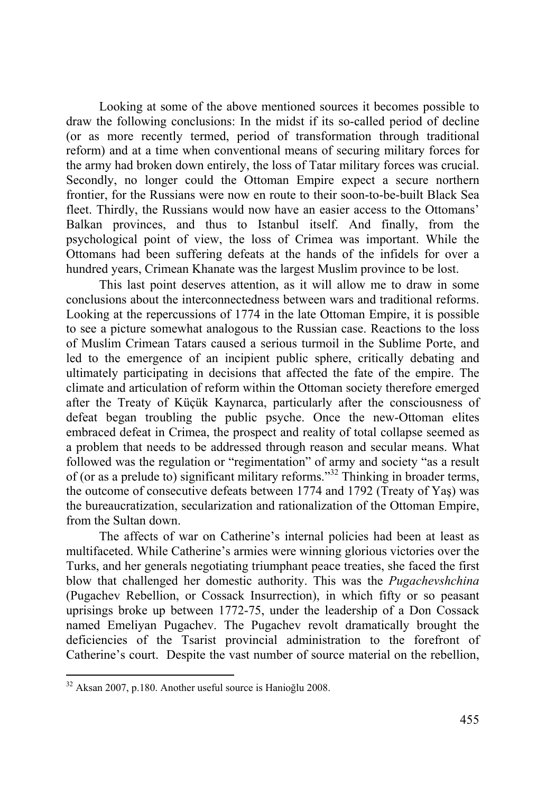Looking at some of the above mentioned sources it becomes possible to draw the following conclusions: In the midst if its so-called period of decline (or as more recently termed, period of transformation through traditional reform) and at a time when conventional means of securing military forces for the army had broken down entirely, the loss of Tatar military forces was crucial. Secondly, no longer could the Ottoman Empire expect a secure northern frontier, for the Russians were now en route to their soon-to-be-built Black Sea fleet. Thirdly, the Russians would now have an easier access to the Ottomans' Balkan provinces, and thus to Istanbul itself. And finally, from the psychological point of view, the loss of Crimea was important. While the Ottomans had been suffering defeats at the hands of the infidels for over a hundred years, Crimean Khanate was the largest Muslim province to be lost.

This last point deserves attention, as it will allow me to draw in some conclusions about the interconnectedness between wars and traditional reforms. Looking at the repercussions of 1774 in the late Ottoman Empire, it is possible to see a picture somewhat analogous to the Russian case. Reactions to the loss of Muslim Crimean Tatars caused a serious turmoil in the Sublime Porte, and led to the emergence of an incipient public sphere, critically debating and ultimately participating in decisions that affected the fate of the empire. The climate and articulation of reform within the Ottoman society therefore emerged after the Treaty of Küçük Kaynarca, particularly after the consciousness of defeat began troubling the public psyche. Once the new-Ottoman elites embraced defeat in Crimea, the prospect and reality of total collapse seemed as a problem that needs to be addressed through reason and secular means. What followed was the regulation or "regimentation" of army and society "as a result of (or as a prelude to) significant military reforms."32 Thinking in broader terms, the outcome of consecutive defeats between 1774 and 1792 (Treaty of Yaş) was the bureaucratization, secularization and rationalization of the Ottoman Empire, from the Sultan down.

The affects of war on Catherine's internal policies had been at least as multifaceted. While Catherine's armies were winning glorious victories over the Turks, and her generals negotiating triumphant peace treaties, she faced the first blow that challenged her domestic authority. This was the *Pugachevshchina* (Pugachev Rebellion, or Cossack Insurrection), in which fifty or so peasant uprisings broke up between 1772-75, under the leadership of a Don Cossack named Emeliyan Pugachev. The Pugachev revolt dramatically brought the deficiencies of the Tsarist provincial administration to the forefront of Catherine's court. Despite the vast number of source material on the rebellion,

<sup>&</sup>lt;sup>32</sup> Aksan 2007, p.180. Another useful source is Hanioğlu 2008.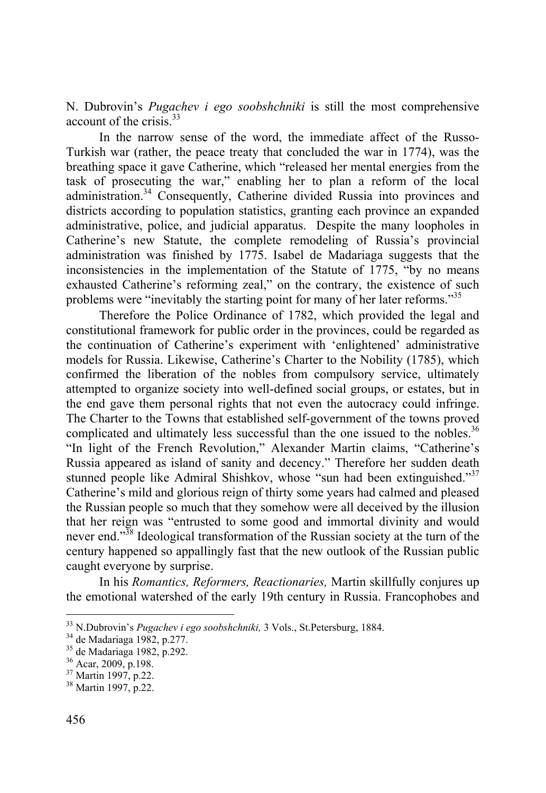N. Dubrovin's *Pugachev i ego soobshchniki* is still the most comprehensive account of the crisis.<sup>33</sup>

In the narrow sense of the word, the immediate affect of the Russo-Turkish war (rather, the peace treaty that concluded the war in 1774), was the breathing space it gave Catherine, which "released her mental energies from the task of prosecuting the war," enabling her to plan a reform of the local administration.<sup>34</sup> Consequently, Catherine divided Russia into provinces and districts according to population statistics, granting each province an expanded administrative, police, and judicial apparatus. Despite the many loopholes in Catherine's new Statute, the complete remodeling of Russia's provincial administration was finished by 1775. Isabel de Madariaga suggests that the inconsistencies in the implementation of the Statute of 1775, "by no means exhausted Catherine's reforming zeal," on the contrary, the existence of such problems were "inevitably the starting point for many of her later reforms."<sup>35</sup>

Therefore the Police Ordinance of 1782, which provided the legal and constitutional framework for public order in the provinces, could be regarded as the continuation of Catherine's experiment with 'enlightened' administrative models for Russia. Likewise, Catherine's Charter to the Nobility (1785), which confirmed the liberation of the nobles from compulsory service, ultimately attempted to organize society into well-defined social groups, or estates, but in the end gave them personal rights that not even the autocracy could infringe. The Charter to the Towns that established self-government of the towns proved complicated and ultimately less successful than the one issued to the nobles.<sup>36</sup> "In light of the French Revolution," Alexander Martin claims, "Catherine's Russia appeared as island of sanity and decency." Therefore her sudden death stunned people like Admiral Shishkov, whose "sun had been extinguished."<sup>37</sup> Catherine's mild and glorious reign of thirty some years had calmed and pleased the Russian people so much that they somehow were all deceived by the illusion that her reign was "entrusted to some good and immortal divinity and would never end."<sup>38</sup> Ideological transformation of the Russian society at the turn of the century happened so appallingly fast that the new outlook of the Russian public caught everyone by surprise.

In his *Romantics, Reformers, Reactionaries,* Martin skillfully conjures up the emotional watershed of the early 19th century in Russia. Francophobes and

<sup>&</sup>lt;sup>33</sup> N.Dubrovin's *Pugachev i ego soobshchniki*, 3 Vols., St.Petersburg, 1884.<br><sup>34</sup> de Madariaga 1982, p.277.

<sup>&</sup>lt;sup>34</sup> de Madariaga 1982, p.277.<br><sup>35</sup> de Madariaga 1982, p.292.

<sup>36</sup> Acar, 2009, p.198.

<sup>37</sup> Martin 1997, p.22.

<sup>38</sup> Martin 1997, p.22.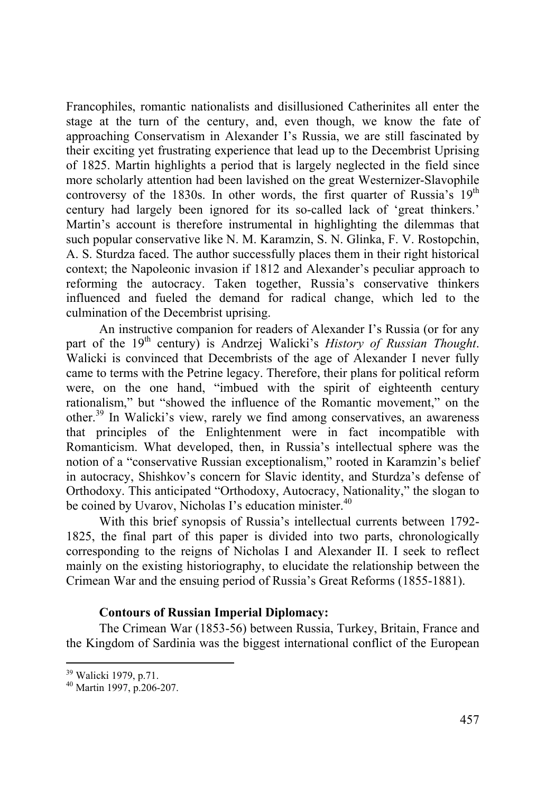Francophiles, romantic nationalists and disillusioned Catherinites all enter the stage at the turn of the century, and, even though, we know the fate of approaching Conservatism in Alexander I's Russia, we are still fascinated by their exciting yet frustrating experience that lead up to the Decembrist Uprising of 1825. Martin highlights a period that is largely neglected in the field since more scholarly attention had been lavished on the great Westernizer-Slavophile controversy of the 1830s. In other words, the first quarter of Russia's  $19<sup>th</sup>$ century had largely been ignored for its so-called lack of 'great thinkers.' Martin's account is therefore instrumental in highlighting the dilemmas that such popular conservative like N. M. Karamzin, S. N. Glinka, F. V. Rostopchin, A. S. Sturdza faced. The author successfully places them in their right historical context; the Napoleonic invasion if 1812 and Alexander's peculiar approach to reforming the autocracy. Taken together, Russia's conservative thinkers influenced and fueled the demand for radical change, which led to the culmination of the Decembrist uprising.

An instructive companion for readers of Alexander I's Russia (or for any part of the 19<sup>th</sup> century) is Andrzej Walicki's *History of Russian Thought*. Walicki is convinced that Decembrists of the age of Alexander I never fully came to terms with the Petrine legacy. Therefore, their plans for political reform were, on the one hand, "imbued with the spirit of eighteenth century rationalism," but "showed the influence of the Romantic movement," on the other.39 In Walicki's view, rarely we find among conservatives, an awareness that principles of the Enlightenment were in fact incompatible with Romanticism. What developed, then, in Russia's intellectual sphere was the notion of a "conservative Russian exceptionalism," rooted in Karamzin's belief in autocracy, Shishkov's concern for Slavic identity, and Sturdza's defense of Orthodoxy. This anticipated "Orthodoxy, Autocracy, Nationality," the slogan to be coined by Uvarov, Nicholas I's education minister.<sup>40</sup>

With this brief synopsis of Russia's intellectual currents between 1792- 1825, the final part of this paper is divided into two parts, chronologically corresponding to the reigns of Nicholas I and Alexander II. I seek to reflect mainly on the existing historiography, to elucidate the relationship between the Crimean War and the ensuing period of Russia's Great Reforms (1855-1881).

## **Contours of Russian Imperial Diplomacy:**

The Crimean War (1853-56) between Russia, Turkey, Britain, France and the Kingdom of Sardinia was the biggest international conflict of the European

<sup>39</sup> Walicki 1979, p.71.

<sup>40</sup> Martin 1997, p.206-207.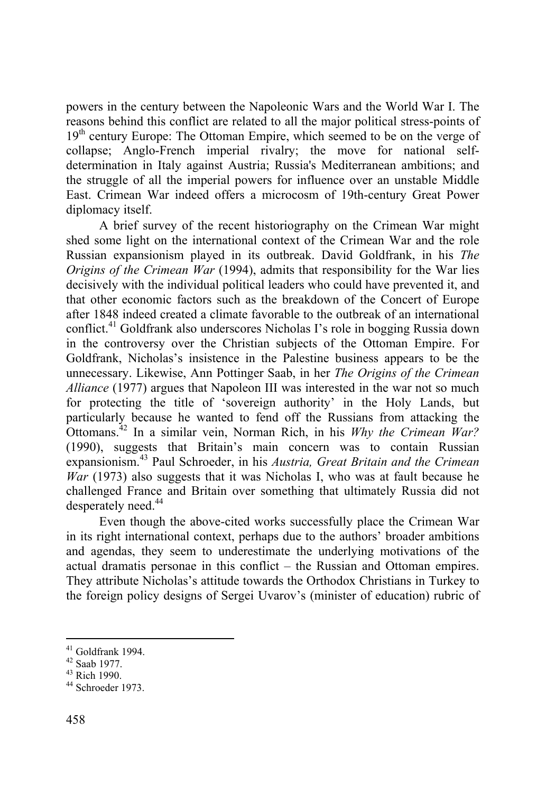powers in the century between the Napoleonic Wars and the World War I. The reasons behind this conflict are related to all the major political stress-points of  $19<sup>th</sup>$  century Europe: The Ottoman Empire, which seemed to be on the verge of collapse; Anglo-French imperial rivalry; the move for national selfdetermination in Italy against Austria; Russia's Mediterranean ambitions; and the struggle of all the imperial powers for influence over an unstable Middle East. Crimean War indeed offers a microcosm of 19th-century Great Power diplomacy itself.

A brief survey of the recent historiography on the Crimean War might shed some light on the international context of the Crimean War and the role Russian expansionism played in its outbreak. David Goldfrank, in his *The Origins of the Crimean War* (1994), admits that responsibility for the War lies decisively with the individual political leaders who could have prevented it, and that other economic factors such as the breakdown of the Concert of Europe after 1848 indeed created a climate favorable to the outbreak of an international conflict.41 Goldfrank also underscores Nicholas I's role in bogging Russia down in the controversy over the Christian subjects of the Ottoman Empire. For Goldfrank, Nicholas's insistence in the Palestine business appears to be the unnecessary. Likewise, Ann Pottinger Saab, in her *The Origins of the Crimean Alliance* (1977) argues that Napoleon III was interested in the war not so much for protecting the title of 'sovereign authority' in the Holy Lands, but particularly because he wanted to fend off the Russians from attacking the Ottomans.42 In a similar vein, Norman Rich, in his *Why the Crimean War?*  (1990), suggests that Britain's main concern was to contain Russian expansionism.43 Paul Schroeder, in his *Austria, Great Britain and the Crimean War* (1973) also suggests that it was Nicholas I, who was at fault because he challenged France and Britain over something that ultimately Russia did not desperately need.<sup>44</sup>

Even though the above-cited works successfully place the Crimean War in its right international context, perhaps due to the authors' broader ambitions and agendas, they seem to underestimate the underlying motivations of the actual dramatis personae in this conflict – the Russian and Ottoman empires. They attribute Nicholas's attitude towards the Orthodox Christians in Turkey to the foreign policy designs of Sergei Uvarov's (minister of education) rubric of

 $41$  Goldfrank 1994.

<sup>42</sup> Saab 1977.

<sup>43</sup> Rich 1990.

<sup>44</sup> Schroeder 1973.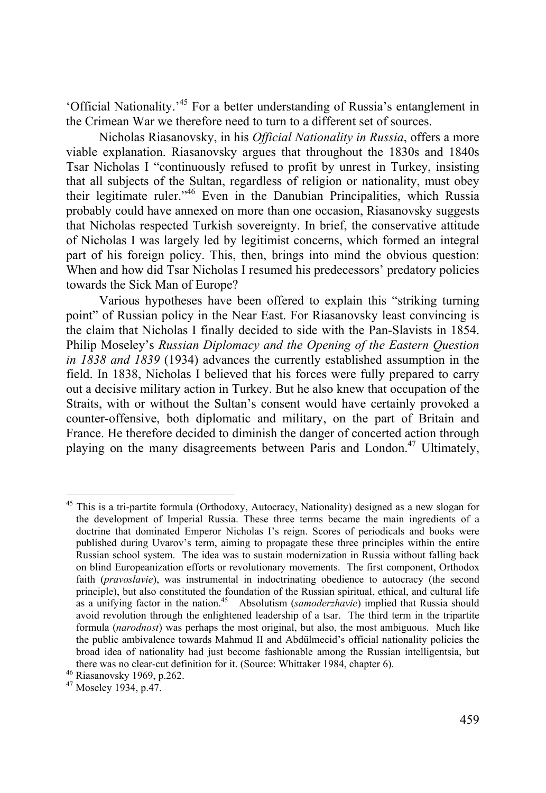'Official Nationality.'45 For a better understanding of Russia's entanglement in the Crimean War we therefore need to turn to a different set of sources.

Nicholas Riasanovsky, in his *Official Nationality in Russia*, offers a more viable explanation. Riasanovsky argues that throughout the 1830s and 1840s Tsar Nicholas I "continuously refused to profit by unrest in Turkey, insisting that all subjects of the Sultan, regardless of religion or nationality, must obey their legitimate ruler."46 Even in the Danubian Principalities, which Russia probably could have annexed on more than one occasion, Riasanovsky suggests that Nicholas respected Turkish sovereignty. In brief, the conservative attitude of Nicholas I was largely led by legitimist concerns, which formed an integral part of his foreign policy. This, then, brings into mind the obvious question: When and how did Tsar Nicholas I resumed his predecessors' predatory policies towards the Sick Man of Europe?

Various hypotheses have been offered to explain this "striking turning point" of Russian policy in the Near East. For Riasanovsky least convincing is the claim that Nicholas I finally decided to side with the Pan-Slavists in 1854. Philip Moseley's *Russian Diplomacy and the Opening of the Eastern Question in 1838 and 1839* (1934) advances the currently established assumption in the field. In 1838, Nicholas I believed that his forces were fully prepared to carry out a decisive military action in Turkey. But he also knew that occupation of the Straits, with or without the Sultan's consent would have certainly provoked a counter-offensive, both diplomatic and military, on the part of Britain and France. He therefore decided to diminish the danger of concerted action through playing on the many disagreements between Paris and London.<sup>47</sup> Ultimately,

<sup>&</sup>lt;sup>45</sup> This is a tri-partite formula (Orthodoxy, Autocracy, Nationality) designed as a new slogan for the development of Imperial Russia. These three terms became the main ingredients of a doctrine that dominated Emperor Nicholas I's reign. Scores of periodicals and books were published during Uvarov's term, aiming to propagate these three principles within the entire Russian school system. The idea was to sustain modernization in Russia without falling back on blind Europeanization efforts or revolutionary movements. The first component, Orthodox faith (*pravoslavie*), was instrumental in indoctrinating obedience to autocracy (the second principle), but also constituted the foundation of the Russian spiritual, ethical, and cultural life as a unifying factor in the nation.<sup>45</sup> Absolutism (*samoderzhavie*) implied that Russia should avoid revolution through the enlightened leadership of a tsar. The third term in the tripartite formula (*narodnost*) was perhaps the most original, but also, the most ambiguous. Much like the public ambivalence towards Mahmud II and Abdülmecid's official nationality policies the broad idea of nationality had just become fashionable among the Russian intelligentsia, but there was no clear-cut definition for it. (Source: Whittaker 1984, chapter 6).<br>
<sup>46</sup> Riasanovsky 1969, p.262.<br>
<sup>47</sup> Moseley 1934, p.47.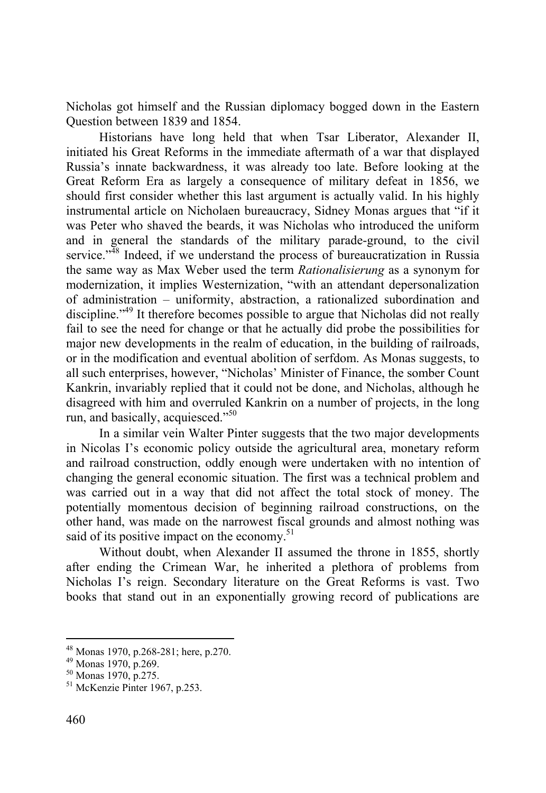Nicholas got himself and the Russian diplomacy bogged down in the Eastern Question between 1839 and 1854.

Historians have long held that when Tsar Liberator, Alexander II, initiated his Great Reforms in the immediate aftermath of a war that displayed Russia's innate backwardness, it was already too late. Before looking at the Great Reform Era as largely a consequence of military defeat in 1856, we should first consider whether this last argument is actually valid. In his highly instrumental article on Nicholaen bureaucracy, Sidney Monas argues that "if it was Peter who shaved the beards, it was Nicholas who introduced the uniform and in general the standards of the military parade-ground, to the civil service." $48$  Indeed, if we understand the process of bureaucratization in Russia the same way as Max Weber used the term *Rationalisierung* as a synonym for modernization, it implies Westernization, "with an attendant depersonalization of administration – uniformity, abstraction, a rationalized subordination and discipline."49 It therefore becomes possible to argue that Nicholas did not really fail to see the need for change or that he actually did probe the possibilities for major new developments in the realm of education, in the building of railroads, or in the modification and eventual abolition of serfdom. As Monas suggests, to all such enterprises, however, "Nicholas' Minister of Finance, the somber Count Kankrin, invariably replied that it could not be done, and Nicholas, although he disagreed with him and overruled Kankrin on a number of projects, in the long run, and basically, acquiesced."50

In a similar vein Walter Pinter suggests that the two major developments in Nicolas I's economic policy outside the agricultural area, monetary reform and railroad construction, oddly enough were undertaken with no intention of changing the general economic situation. The first was a technical problem and was carried out in a way that did not affect the total stock of money. The potentially momentous decision of beginning railroad constructions, on the other hand, was made on the narrowest fiscal grounds and almost nothing was said of its positive impact on the economy.<sup>51</sup>

Without doubt, when Alexander II assumed the throne in 1855, shortly after ending the Crimean War, he inherited a plethora of problems from Nicholas I's reign. Secondary literature on the Great Reforms is vast. Two books that stand out in an exponentially growing record of publications are

<sup>48</sup> Monas 1970, p.268-281; here, p.270.

<sup>49</sup> Monas 1970, p.269.

<sup>50</sup> Monas 1970, p.275.

<sup>51</sup> McKenzie Pinter 1967, p.253.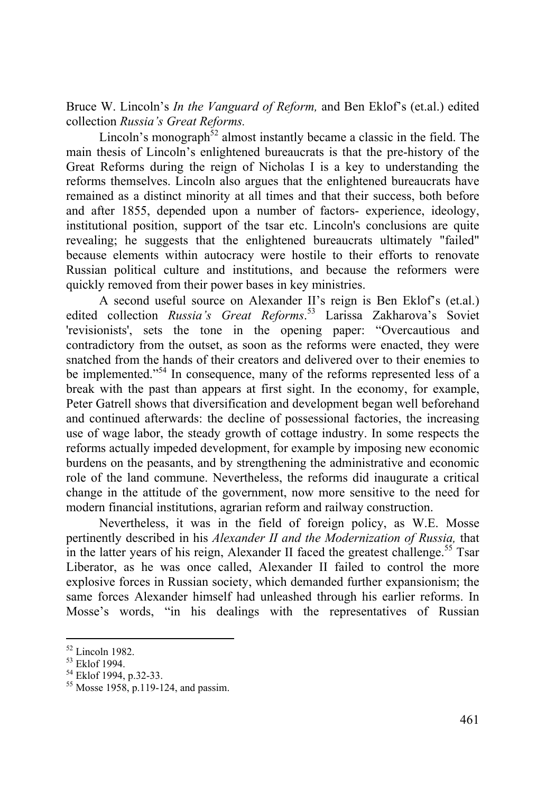Bruce W. Lincoln's *In the Vanguard of Reform,* and Ben Eklof's (et.al.) edited collection *Russia's Great Reforms.*

Lincoln's monograph<sup>52</sup> almost instantly became a classic in the field. The main thesis of Lincoln's enlightened bureaucrats is that the pre-history of the Great Reforms during the reign of Nicholas I is a key to understanding the reforms themselves. Lincoln also argues that the enlightened bureaucrats have remained as a distinct minority at all times and that their success, both before and after 1855, depended upon a number of factors- experience, ideology, institutional position, support of the tsar etc. Lincoln's conclusions are quite revealing; he suggests that the enlightened bureaucrats ultimately "failed" because elements within autocracy were hostile to their efforts to renovate Russian political culture and institutions, and because the reformers were quickly removed from their power bases in key ministries.

A second useful source on Alexander II's reign is Ben Eklof's (et.al.) edited collection *Russia's Great Reforms*. 53 Larissa Zakharova's Soviet 'revisionists', sets the tone in the opening paper: "Overcautious and contradictory from the outset, as soon as the reforms were enacted, they were snatched from the hands of their creators and delivered over to their enemies to be implemented."<sup>54</sup> In consequence, many of the reforms represented less of a break with the past than appears at first sight. In the economy, for example, Peter Gatrell shows that diversification and development began well beforehand and continued afterwards: the decline of possessional factories, the increasing use of wage labor, the steady growth of cottage industry. In some respects the reforms actually impeded development, for example by imposing new economic burdens on the peasants, and by strengthening the administrative and economic role of the land commune. Nevertheless, the reforms did inaugurate a critical change in the attitude of the government, now more sensitive to the need for modern financial institutions, agrarian reform and railway construction.

Nevertheless, it was in the field of foreign policy, as W.E. Mosse pertinently described in his *Alexander II and the Modernization of Russia,* that in the latter years of his reign, Alexander II faced the greatest challenge.<sup>55</sup> Tsar Liberator, as he was once called, Alexander II failed to control the more explosive forces in Russian society, which demanded further expansionism; the same forces Alexander himself had unleashed through his earlier reforms. In Mosse's words, "in his dealings with the representatives of Russian

<sup>52</sup> Lincoln 1982.

<sup>53</sup> Eklof 1994.

<sup>&</sup>lt;sup>54</sup> Eklof 1994, p.32-33.

<sup>55</sup> Mosse 1958, p.119-124, and passim.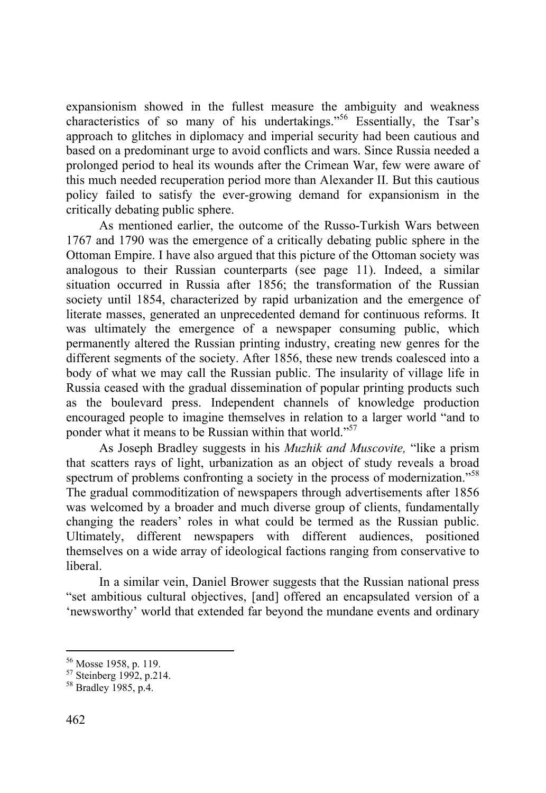expansionism showed in the fullest measure the ambiguity and weakness characteristics of so many of his undertakings."56 Essentially, the Tsar's approach to glitches in diplomacy and imperial security had been cautious and based on a predominant urge to avoid conflicts and wars. Since Russia needed a prolonged period to heal its wounds after the Crimean War, few were aware of this much needed recuperation period more than Alexander II. But this cautious policy failed to satisfy the ever-growing demand for expansionism in the critically debating public sphere.

As mentioned earlier, the outcome of the Russo-Turkish Wars between 1767 and 1790 was the emergence of a critically debating public sphere in the Ottoman Empire. I have also argued that this picture of the Ottoman society was analogous to their Russian counterparts (see page 11). Indeed, a similar situation occurred in Russia after 1856; the transformation of the Russian society until 1854, characterized by rapid urbanization and the emergence of literate masses, generated an unprecedented demand for continuous reforms. It was ultimately the emergence of a newspaper consuming public, which permanently altered the Russian printing industry, creating new genres for the different segments of the society. After 1856, these new trends coalesced into a body of what we may call the Russian public. The insularity of village life in Russia ceased with the gradual dissemination of popular printing products such as the boulevard press. Independent channels of knowledge production encouraged people to imagine themselves in relation to a larger world "and to ponder what it means to be Russian within that world."<sup>57</sup>

As Joseph Bradley suggests in his *Muzhik and Muscovite,* "like a prism that scatters rays of light, urbanization as an object of study reveals a broad spectrum of problems confronting a society in the process of modernization."<sup>58</sup> The gradual commoditization of newspapers through advertisements after 1856 was welcomed by a broader and much diverse group of clients, fundamentally changing the readers' roles in what could be termed as the Russian public. Ultimately, different newspapers with different audiences, positioned themselves on a wide array of ideological factions ranging from conservative to liberal.

In a similar vein, Daniel Brower suggests that the Russian national press "set ambitious cultural objectives, [and] offered an encapsulated version of a 'newsworthy' world that extended far beyond the mundane events and ordinary

<sup>56</sup> Mosse 1958, p. 119.

 $57$  Steinberg 1992, p.214.

<sup>58</sup> Bradley 1985, p.4.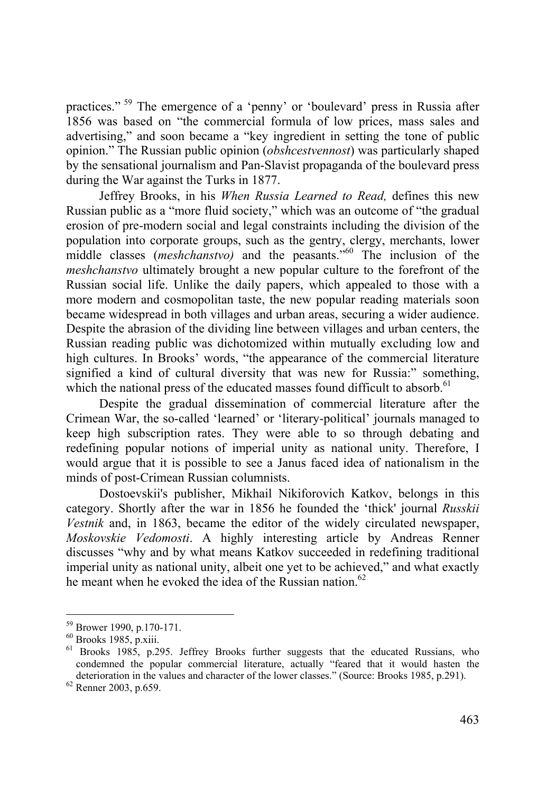practices." 59 The emergence of a 'penny' or 'boulevard' press in Russia after 1856 was based on "the commercial formula of low prices, mass sales and advertising," and soon became a "key ingredient in setting the tone of public opinion." The Russian public opinion (*obshcestvennost*) was particularly shaped by the sensational journalism and Pan-Slavist propaganda of the boulevard press during the War against the Turks in 1877.

Jeffrey Brooks, in his *When Russia Learned to Read,* defines this new Russian public as a "more fluid society," which was an outcome of "the gradual erosion of pre-modern social and legal constraints including the division of the population into corporate groups, such as the gentry, clergy, merchants, lower middle classes (*meshchanstvo)* and the peasants."60 The inclusion of the *meshchanstvo* ultimately brought a new popular culture to the forefront of the Russian social life. Unlike the daily papers, which appealed to those with a more modern and cosmopolitan taste, the new popular reading materials soon became widespread in both villages and urban areas, securing a wider audience. Despite the abrasion of the dividing line between villages and urban centers, the Russian reading public was dichotomized within mutually excluding low and high cultures. In Brooks' words, "the appearance of the commercial literature signified a kind of cultural diversity that was new for Russia:" something, which the national press of the educated masses found difficult to absorb.<sup>61</sup>

Despite the gradual dissemination of commercial literature after the Crimean War, the so-called 'learned' or 'literary-political' journals managed to keep high subscription rates. They were able to so through debating and redefining popular notions of imperial unity as national unity. Therefore, I would argue that it is possible to see a Janus faced idea of nationalism in the minds of post-Crimean Russian columnists.

Dostoevskii's publisher, Mikhail Nikiforovich Katkov, belongs in this category. Shortly after the war in 1856 he founded the 'thick' journal *Russkii Vestnik* and, in 1863, became the editor of the widely circulated newspaper, *Moskovskie Vedomosti*. A highly interesting article by Andreas Renner discusses "why and by what means Katkov succeeded in redefining traditional imperial unity as national unity, albeit one yet to be achieved," and what exactly he meant when he evoked the idea of the Russian nation  $62$ 

<sup>59</sup> Brower 1990, p.170-171.

<sup>60</sup> Brooks 1985, p.xiii.<br><sup>61</sup> Brooks 1985, p.295. Jeffrey Brooks further suggests that the educated Russians, who condemned the popular commercial literature, actually "feared that it would hasten the deterioration in the values and character of the lower classes." (Source: Brooks 1985, p.291). <sup>62</sup> Renner 2003, p.659.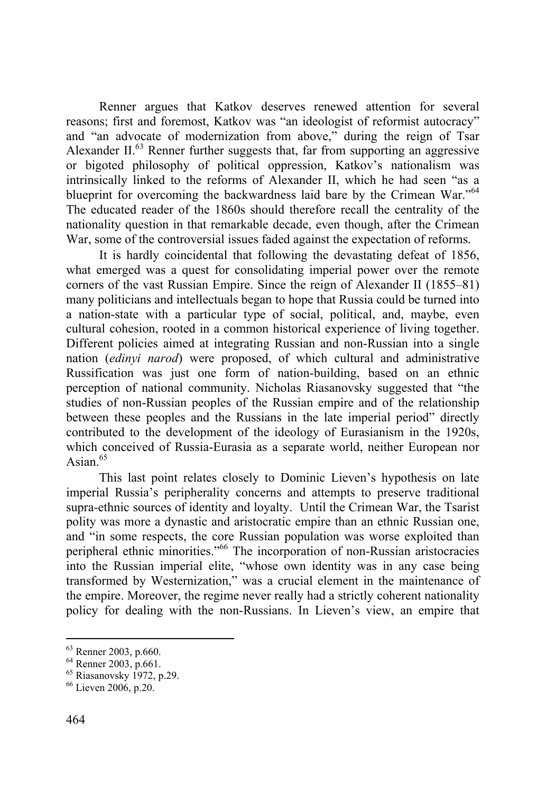Renner argues that Katkov deserves renewed attention for several reasons; first and foremost, Katkov was "an ideologist of reformist autocracy" and "an advocate of modernization from above," during the reign of Tsar Alexander II. $<sup>63</sup>$  Renner further suggests that, far from supporting an aggressive</sup> or bigoted philosophy of political oppression, Katkov's nationalism was intrinsically linked to the reforms of Alexander II, which he had seen "as a blueprint for overcoming the backwardness laid bare by the Crimean War."<sup>64</sup> The educated reader of the 1860s should therefore recall the centrality of the nationality question in that remarkable decade, even though, after the Crimean War, some of the controversial issues faded against the expectation of reforms.

It is hardly coincidental that following the devastating defeat of 1856, what emerged was a quest for consolidating imperial power over the remote corners of the vast Russian Empire. Since the reign of Alexander II (1855–81) many politicians and intellectuals began to hope that Russia could be turned into a nation-state with a particular type of social, political, and, maybe, even cultural cohesion, rooted in a common historical experience of living together. Different policies aimed at integrating Russian and non-Russian into a single nation (*edinyi narod*) were proposed, of which cultural and administrative Russification was just one form of nation-building, based on an ethnic perception of national community. Nicholas Riasanovsky suggested that "the studies of non-Russian peoples of the Russian empire and of the relationship between these peoples and the Russians in the late imperial period" directly contributed to the development of the ideology of Eurasianism in the 1920s, which conceived of Russia-Eurasia as a separate world, neither European nor Asian $65$ 

This last point relates closely to Dominic Lieven's hypothesis on late imperial Russia's peripherality concerns and attempts to preserve traditional supra-ethnic sources of identity and loyalty. Until the Crimean War, the Tsarist polity was more a dynastic and aristocratic empire than an ethnic Russian one, and "in some respects, the core Russian population was worse exploited than peripheral ethnic minorities."66 The incorporation of non-Russian aristocracies into the Russian imperial elite, "whose own identity was in any case being transformed by Westernization," was a crucial element in the maintenance of the empire. Moreover, the regime never really had a strictly coherent nationality policy for dealing with the non-Russians. In Lieven's view, an empire that

<sup>&</sup>lt;sup>63</sup> Renner 2003, p.660.

<sup>64</sup> Renner 2003, p.661.

 $65$  Riasanovsky 1972, p.29.

<sup>66</sup> Lieven 2006, p.20.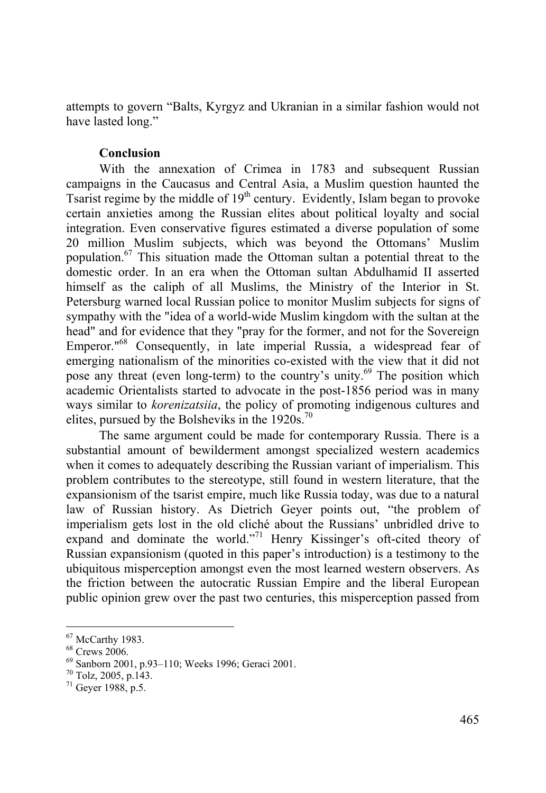attempts to govern "Balts, Kyrgyz and Ukranian in a similar fashion would not have lasted long."

## **Conclusion**

With the annexation of Crimea in 1783 and subsequent Russian campaigns in the Caucasus and Central Asia, a Muslim question haunted the Tsarist regime by the middle of 19<sup>th</sup> century. Evidently, Islam began to provoke certain anxieties among the Russian elites about political loyalty and social integration. Even conservative figures estimated a diverse population of some 20 million Muslim subjects, which was beyond the Ottomans' Muslim population.67 This situation made the Ottoman sultan a potential threat to the domestic order. In an era when the Ottoman sultan Abdulhamid II asserted himself as the caliph of all Muslims, the Ministry of the Interior in St. Petersburg warned local Russian police to monitor Muslim subjects for signs of sympathy with the "idea of a world-wide Muslim kingdom with the sultan at the head" and for evidence that they "pray for the former, and not for the Sovereign Emperor."68 Consequently, in late imperial Russia, a widespread fear of emerging nationalism of the minorities co-existed with the view that it did not pose any threat (even long-term) to the country's unity.<sup>69</sup> The position which academic Orientalists started to advocate in the post-1856 period was in many ways similar to *korenizatsiia*, the policy of promoting indigenous cultures and elites, pursued by the Bolsheviks in the  $1920s$ .<sup>70</sup>

The same argument could be made for contemporary Russia. There is a substantial amount of bewilderment amongst specialized western academics when it comes to adequately describing the Russian variant of imperialism. This problem contributes to the stereotype, still found in western literature, that the expansionism of the tsarist empire, much like Russia today, was due to a natural law of Russian history. As Dietrich Geyer points out, "the problem of imperialism gets lost in the old cliché about the Russians' unbridled drive to expand and dominate the world."<sup>71</sup> Henry Kissinger's oft-cited theory of Russian expansionism (quoted in this paper's introduction) is a testimony to the ubiquitous misperception amongst even the most learned western observers. As the friction between the autocratic Russian Empire and the liberal European public opinion grew over the past two centuries, this misperception passed from

 $67$  McCarthy 1983.

<sup>68</sup> Crews 2006.

<sup>&</sup>lt;sup>69</sup> Sanborn 2001, p.93–110; Weeks 1996; Geraci 2001.<br><sup>70</sup> Tolz, 2005, p.143.

<sup>71</sup> Geyer 1988, p.5.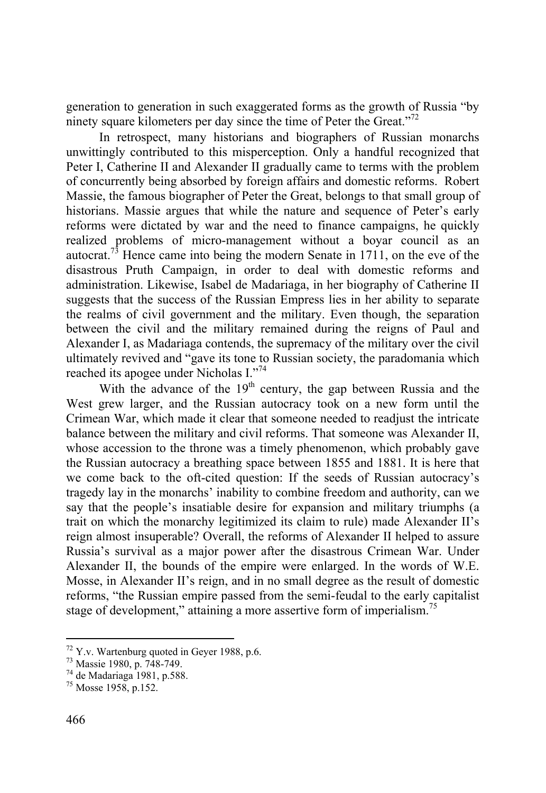generation to generation in such exaggerated forms as the growth of Russia "by ninety square kilometers per day since the time of Peter the Great."72

In retrospect, many historians and biographers of Russian monarchs unwittingly contributed to this misperception. Only a handful recognized that Peter I, Catherine II and Alexander II gradually came to terms with the problem of concurrently being absorbed by foreign affairs and domestic reforms. Robert Massie, the famous biographer of Peter the Great, belongs to that small group of historians. Massie argues that while the nature and sequence of Peter's early reforms were dictated by war and the need to finance campaigns, he quickly realized problems of micro-management without a boyar council as an autocrat.<sup>73</sup> Hence came into being the modern Senate in 1711, on the eve of the disastrous Pruth Campaign, in order to deal with domestic reforms and administration. Likewise, Isabel de Madariaga, in her biography of Catherine II suggests that the success of the Russian Empress lies in her ability to separate the realms of civil government and the military. Even though, the separation between the civil and the military remained during the reigns of Paul and Alexander I, as Madariaga contends, the supremacy of the military over the civil ultimately revived and "gave its tone to Russian society, the paradomania which reached its apogee under Nicholas I."74

With the advance of the  $19<sup>th</sup>$  century, the gap between Russia and the West grew larger, and the Russian autocracy took on a new form until the Crimean War, which made it clear that someone needed to readjust the intricate balance between the military and civil reforms. That someone was Alexander II, whose accession to the throne was a timely phenomenon, which probably gave the Russian autocracy a breathing space between 1855 and 1881. It is here that we come back to the oft-cited question: If the seeds of Russian autocracy's tragedy lay in the monarchs' inability to combine freedom and authority, can we say that the people's insatiable desire for expansion and military triumphs (a trait on which the monarchy legitimized its claim to rule) made Alexander II's reign almost insuperable? Overall, the reforms of Alexander II helped to assure Russia's survival as a major power after the disastrous Crimean War. Under Alexander II, the bounds of the empire were enlarged. In the words of W.E. Mosse, in Alexander II's reign, and in no small degree as the result of domestic reforms, "the Russian empire passed from the semi-feudal to the early capitalist stage of development," attaining a more assertive form of imperialism.<sup>75</sup>

 $72$  Y.v. Wartenburg quoted in Geyer 1988, p.6.

<sup>73</sup> Massie 1980, p. 748-749.

<sup>74</sup> de Madariaga 1981, p.588.

<sup>75</sup> Mosse 1958, p.152.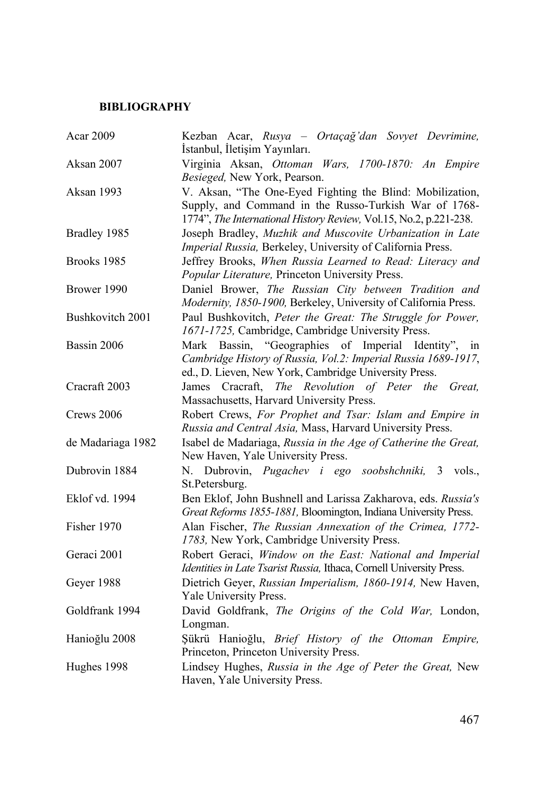# **BIBLIOGRAPHY**

| Acar 2009         | Kezban Acar, Rusya - Ortaçağ'dan Sovyet Devrimine,<br>İstanbul, İletişim Yayınları.                                                                                                     |
|-------------------|-----------------------------------------------------------------------------------------------------------------------------------------------------------------------------------------|
| Aksan 2007        | Virginia Aksan, Ottoman Wars, 1700-1870: An Empire<br>Besieged, New York, Pearson.                                                                                                      |
| Aksan 1993        | V. Aksan, "The One-Eyed Fighting the Blind: Mobilization,<br>Supply, and Command in the Russo-Turkish War of 1768-<br>1774", The International History Review, Vol.15, No.2, p.221-238. |
| Bradley 1985      | Joseph Bradley, Muzhik and Muscovite Urbanization in Late<br>Imperial Russia, Berkeley, University of California Press.                                                                 |
| Brooks 1985       | Jeffrey Brooks, When Russia Learned to Read: Literacy and<br>Popular Literature, Princeton University Press.                                                                            |
| Brower 1990       | Daniel Brower, The Russian City between Tradition and<br>Modernity, 1850-1900, Berkeley, University of California Press.                                                                |
| Bushkovitch 2001  | Paul Bushkovitch, Peter the Great: The Struggle for Power,<br>1671-1725, Cambridge, Cambridge University Press.                                                                         |
| Bassin 2006       | Mark Bassin, "Geographies of Imperial Identity", in<br>Cambridge History of Russia, Vol.2: Imperial Russia 1689-1917,<br>ed., D. Lieven, New York, Cambridge University Press.          |
| Cracraft 2003     | James Cracraft, The Revolution of Peter the<br>Great.<br>Massachusetts, Harvard University Press.                                                                                       |
| Crews 2006        | Robert Crews, For Prophet and Tsar: Islam and Empire in<br>Russia and Central Asia, Mass, Harvard University Press.                                                                     |
| de Madariaga 1982 | Isabel de Madariaga, Russia in the Age of Catherine the Great,<br>New Haven, Yale University Press.                                                                                     |
| Dubrovin 1884     | Dubrovin, Pugachev i ego soobshchniki,<br>Ν.<br>$3 \text{ volts}$ .<br>St.Petersburg.                                                                                                   |
| Eklof vd. 1994    | Ben Eklof, John Bushnell and Larissa Zakharova, eds. Russia's<br>Great Reforms 1855-1881, Bloomington, Indiana University Press.                                                        |
| Fisher 1970       | Alan Fischer, The Russian Annexation of the Crimea, 1772-<br>1783, New York, Cambridge University Press.                                                                                |
| Geraci 2001       | Robert Geraci, Window on the East: National and Imperial<br>Identities in Late Tsarist Russia, Ithaca, Cornell University Press.                                                        |
| Geyer 1988        | Dietrich Geyer, Russian Imperialism, 1860-1914, New Haven,<br>Yale University Press.                                                                                                    |
| Goldfrank 1994    | David Goldfrank, The Origins of the Cold War, London,<br>Longman.                                                                                                                       |
| Hanioğlu 2008     | Şükrü Hanioğlu, Brief History of the Ottoman Empire,<br>Princeton, Princeton University Press.                                                                                          |
| Hughes 1998       | Lindsey Hughes, Russia in the Age of Peter the Great, New<br>Haven, Yale University Press.                                                                                              |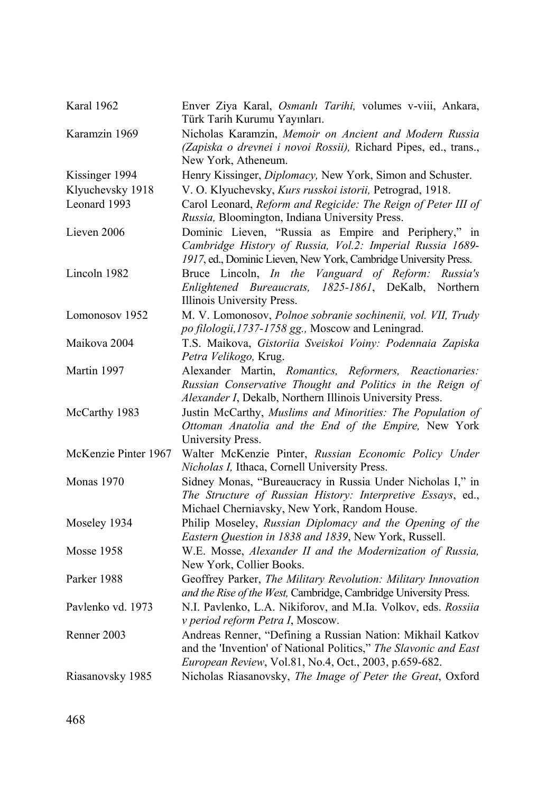| Karal 1962           | Enver Ziya Karal, Osmanlı Tarihi, volumes v-viii, Ankara,<br>Türk Tarih Kurumu Yayınları.                                                                                               |
|----------------------|-----------------------------------------------------------------------------------------------------------------------------------------------------------------------------------------|
| Karamzin 1969        | Nicholas Karamzin, Memoir on Ancient and Modern Russia<br>(Zapiska o drevnei i novoi Rossii), Richard Pipes, ed., trans.,<br>New York, Atheneum.                                        |
| Kissinger 1994       | Henry Kissinger, Diplomacy, New York, Simon and Schuster.                                                                                                                               |
| Klyuchevsky 1918     | V. O. Klyuchevsky, Kurs russkoi istorii, Petrograd, 1918.                                                                                                                               |
| Leonard 1993         | Carol Leonard, Reform and Regicide: The Reign of Peter III of<br>Russia, Bloomington, Indiana University Press.                                                                         |
| Lieven 2006          | Dominic Lieven, "Russia as Empire and Periphery," in<br>Cambridge History of Russia, Vol.2: Imperial Russia 1689-<br>1917, ed., Dominic Lieven, New York, Cambridge University Press.   |
| Lincoln 1982         | Bruce Lincoln, In the Vanguard of Reform: Russia's<br>Enlightened Bureaucrats, 1825-1861, DeKalb,<br>Northern<br>Illinois University Press.                                             |
| Lomonosov 1952       | M. V. Lomonosov, Polnoe sobranie sochinenii, vol. VII, Trudy<br>po filologii, 1737-1758 gg., Moscow and Leningrad.                                                                      |
| Maikova 2004         | T.S. Maikova, Gistoriia Sveiskoi Voiny: Podennaia Zapiska<br>Petra Velikogo, Krug.                                                                                                      |
| Martin 1997          | Alexander Martin, Romantics, Reformers, Reactionaries:<br>Russian Conservative Thought and Politics in the Reign of<br>Alexander I, Dekalb, Northern Illinois University Press.         |
| McCarthy 1983        | Justin McCarthy, Muslims and Minorities: The Population of<br>Ottoman Anatolia and the End of the Empire, New York<br>University Press.                                                 |
| McKenzie Pinter 1967 | Walter McKenzie Pinter, Russian Economic Policy Under<br>Nicholas I, Ithaca, Cornell University Press.                                                                                  |
| <b>Monas</b> 1970    | Sidney Monas, "Bureaucracy in Russia Under Nicholas I," in<br>The Structure of Russian History: Interpretive Essays, ed.,<br>Michael Cherniavsky, New York, Random House.               |
| Moseley 1934         | Philip Moseley, Russian Diplomacy and the Opening of the<br>Eastern Question in 1838 and 1839, New York, Russell.                                                                       |
| <b>Mosse 1958</b>    | W.E. Mosse, Alexander II and the Modernization of Russia,<br>New York, Collier Books.                                                                                                   |
| Parker 1988          | Geoffrey Parker, The Military Revolution: Military Innovation<br>and the Rise of the West, Cambridge, Cambridge University Press.                                                       |
| Paylenko vd. 1973    | N.I. Pavlenko, L.A. Nikiforov, and M.Ia. Volkov, eds. Rossiia<br>v period reform Petra I, Moscow.                                                                                       |
| Renner 2003          | Andreas Renner, "Defining a Russian Nation: Mikhail Katkov<br>and the 'Invention' of National Politics," The Slavonic and East<br>European Review, Vol.81, No.4, Oct., 2003, p.659-682. |
| Riasanovsky 1985     | Nicholas Riasanovsky, The Image of Peter the Great, Oxford                                                                                                                              |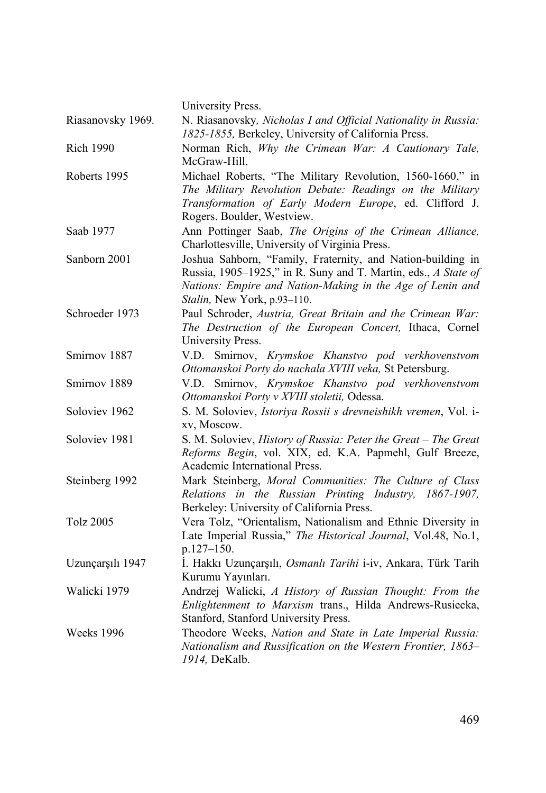|                   | University Press.                                                                                                                                                                                                         |
|-------------------|---------------------------------------------------------------------------------------------------------------------------------------------------------------------------------------------------------------------------|
| Riasanovsky 1969. | N. Riasanovsky, Nicholas I and Official Nationality in Russia:<br>1825-1855, Berkeley, University of California Press.                                                                                                    |
| <b>Rich 1990</b>  | Norman Rich, Why the Crimean War: A Cautionary Tale,<br>McGraw-Hill.                                                                                                                                                      |
| Roberts 1995      | Michael Roberts, "The Military Revolution, 1560-1660," in<br>The Military Revolution Debate: Readings on the Military<br>Transformation of Early Modern Europe, ed. Clifford J.<br>Rogers. Boulder, Westview.             |
| Saab 1977         | Ann Pottinger Saab, The Origins of the Crimean Alliance,<br>Charlottesville, University of Virginia Press.                                                                                                                |
| Sanborn 2001      | Joshua Sahborn, "Family, Fraternity, and Nation-building in<br>Russia, 1905–1925," in R. Suny and T. Martin, eds., A State of<br>Nations: Empire and Nation-Making in the Age of Lenin and<br>Stalin, New York, p.93-110. |
| Schroeder 1973    | Paul Schroder, Austria, Great Britain and the Crimean War:<br>The Destruction of the European Concert, Ithaca, Cornel<br>University Press.                                                                                |
| Smirnov 1887      | V.D. Smirnov, Krymskoe Khanstvo pod verkhovenstvom<br>Ottomanskoi Porty do nachala XVIII veka, St Petersburg.                                                                                                             |
| Smirnov 1889      | V.D. Smirnov, Krymskoe Khanstvo pod verkhovenstvom<br>Ottomanskoi Porty v XVIII stoletii, Odessa.                                                                                                                         |
| Soloviev 1962     | S. M. Soloviev, Istoriya Rossii s drevneishikh vremen, Vol. i-<br>xv, Moscow.                                                                                                                                             |
| Soloviev 1981     | S. M. Soloviev, History of Russia: Peter the Great - The Great<br>Reforms Begin, vol. XIX, ed. K.A. Papmehl, Gulf Breeze,<br>Academic International Press.                                                                |
| Steinberg 1992    | Mark Steinberg, Moral Communities: The Culture of Class<br>Relations in the Russian Printing Industry, 1867-1907,<br>Berkeley: University of California Press.                                                            |
| Tolz 2005         | Vera Tolz, "Orientalism, Nationalism and Ethnic Diversity in<br>Late Imperial Russia," The Historical Journal, Vol.48, No.1,<br>p.127-150.                                                                                |
| Uzunçarşılı 1947  | İ. Hakkı Uzunçarşılı, Osmanlı Tarihi i-iv, Ankara, Türk Tarih<br>Kurumu Yayınları.                                                                                                                                        |
| Walicki 1979      | Andrzej Walicki, A History of Russian Thought: From the<br>Enlightenment to Marxism trans., Hilda Andrews-Rusiecka,<br>Stanford, Stanford University Press.                                                               |
| Weeks 1996        | Theodore Weeks, Nation and State in Late Imperial Russia:<br>Nationalism and Russification on the Western Frontier, 1863-<br>1914, DeKalb.                                                                                |